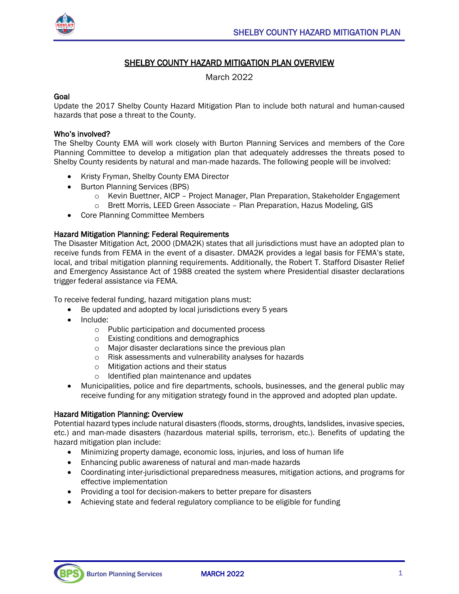

# SHELBY COUNTY HAZARD MITIGATION PLAN OVERVIEW

March 2022

#### Goal

Update the 2017 Shelby County Hazard Mitigation Plan to include both natural and human-caused hazards that pose a threat to the County.

#### Who's involved?

The Shelby County EMA will work closely with Burton Planning Services and members of the Core Planning Committee to develop a mitigation plan that adequately addresses the threats posed to Shelby County residents by natural and man-made hazards. The following people will be involved:

- Kristy Fryman, Shelby County EMA Director
- Burton Planning Services (BPS)
	- o Kevin Buettner, AICP Project Manager, Plan Preparation, Stakeholder Engagement
	- o Brett Morris, LEED Green Associate Plan Preparation, Hazus Modeling, GIS
- Core Planning Committee Members

## Hazard Mitigation Planning: Federal Requirements

The Disaster Mitigation Act, 2000 (DMA2K) states that all jurisdictions must have an adopted plan to receive funds from FEMA in the event of a disaster. DMA2K provides a legal basis for FEMA's state, local, and tribal mitigation planning requirements. Additionally, the Robert T. Stafford Disaster Relief and Emergency Assistance Act of 1988 created the system where Presidential disaster declarations trigger federal assistance via FEMA.

To receive federal funding, hazard mitigation plans must:

- Be updated and adopted by local jurisdictions every 5 years
- Include:
	- o Public participation and documented process
	- o Existing conditions and demographics
	- o Major disaster declarations since the previous plan
	- o Risk assessments and vulnerability analyses for hazards
	- o Mitigation actions and their status
	- o Identified plan maintenance and updates
- Municipalities, police and fire departments, schools, businesses, and the general public may receive funding for any mitigation strategy found in the approved and adopted plan update.

## Hazard Mitigation Planning: Overview

Potential hazard types include natural disasters (floods, storms, droughts, landslides, invasive species, etc.) and man-made disasters (hazardous material spills, terrorism, etc.). Benefits of updating the hazard mitigation plan include:

- Minimizing property damage, economic loss, injuries, and loss of human life
- Enhancing public awareness of natural and man-made hazards
- Coordinating inter-jurisdictional preparedness measures, mitigation actions, and programs for effective implementation
- Providing a tool for decision-makers to better prepare for disasters
- Achieving state and federal regulatory compliance to be eligible for funding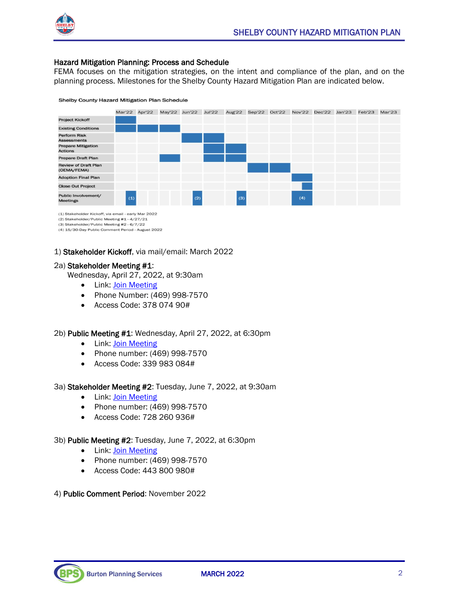

#### Hazard Mitigation Planning: Process and Schedule

FEMA focuses on the mitigation strategies, on the intent and compliance of the plan, and on the planning process. Milestones for the Shelby County Hazard Mitigation Plan are indicated below.





(1) Stakeholder Kickoff, via email - early Mar 2022

(2) Stakeholder/Public Meeting #1 - 4/27/21

(3) Stakeholder/Public Meeting #2 - 6/7/22 (4) 15/30-Day Public Comment Period - August 2022

## 1) Stakeholder Kickoff, via mail/email: March 2022

#### 2a) Stakeholder Meeting #1:

Wednesday, April 27, 2022, at 9:30am

- Link: [Join Meeting](https://teams.microsoft.com/l/meetup-join/19%3ameeting_NzllYWMyYWMtNmU3NC00N2EyLWJhZGMtY2YyZDlkNWRlNTJl%40thread.v2/0?context=%7b%22Tid%22%3a%22dcf31e23-3f80-447b-a1a1-395a27d1bed4%22%2c%22Oid%22%3a%221195fe3b-b2a6-410e-ba4a-0fb06f0f9706%22%7d)
- Phone Number: (469) 998-7570
- Access Code: 378 074 90#

## 2b) Public Meeting #1: Wednesday, April 27, 2022, at 6:30pm

- Link: [Join Meeting](https://teams.microsoft.com/l/meetup-join/19%3ameeting_ZjQ3MTJmMDEtMDBjMC00NjY2LThjMzgtODNkOWYxZDY1ZGM1%40thread.v2/0?context=%7b%22Tid%22%3a%22dcf31e23-3f80-447b-a1a1-395a27d1bed4%22%2c%22Oid%22%3a%221195fe3b-b2a6-410e-ba4a-0fb06f0f9706%22%7d)
- Phone number: (469) 998-7570
- Access Code: 339 983 084#

## 3a) Stakeholder Meeting #2: Tuesday, June 7, 2022, at 9:30am

- Link: [Join Meeting](https://teams.microsoft.com/l/meetup-join/19%3ameeting_NDVmZmFiNGUtYWM5Ny00ZjYwLWJiZjAtMGZmMzcyNjI5ZTEx%40thread.v2/0?context=%7b%22Tid%22%3a%22dcf31e23-3f80-447b-a1a1-395a27d1bed4%22%2c%22Oid%22%3a%221195fe3b-b2a6-410e-ba4a-0fb06f0f9706%22%7d)
- Phone number: (469) 998-7570
- Access Code: 728 260 936#

## 3b) Public Meeting #2: Tuesday, June 7, 2022, at 6:30pm

- Link: [Join Meeting](https://teams.microsoft.com/l/meetup-join/19%3ameeting_OTkxNGY4MTctNmU1NC00YzE5LTk2NjUtNjhjMDU4OTE1OGQ5%40thread.v2/0?context=%7b%22Tid%22%3a%22dcf31e23-3f80-447b-a1a1-395a27d1bed4%22%2c%22Oid%22%3a%221195fe3b-b2a6-410e-ba4a-0fb06f0f9706%22%7d)
- Phone number: (469) 998-7570
- Access Code: 443 800 980#

## 4) Public Comment Period: November 2022